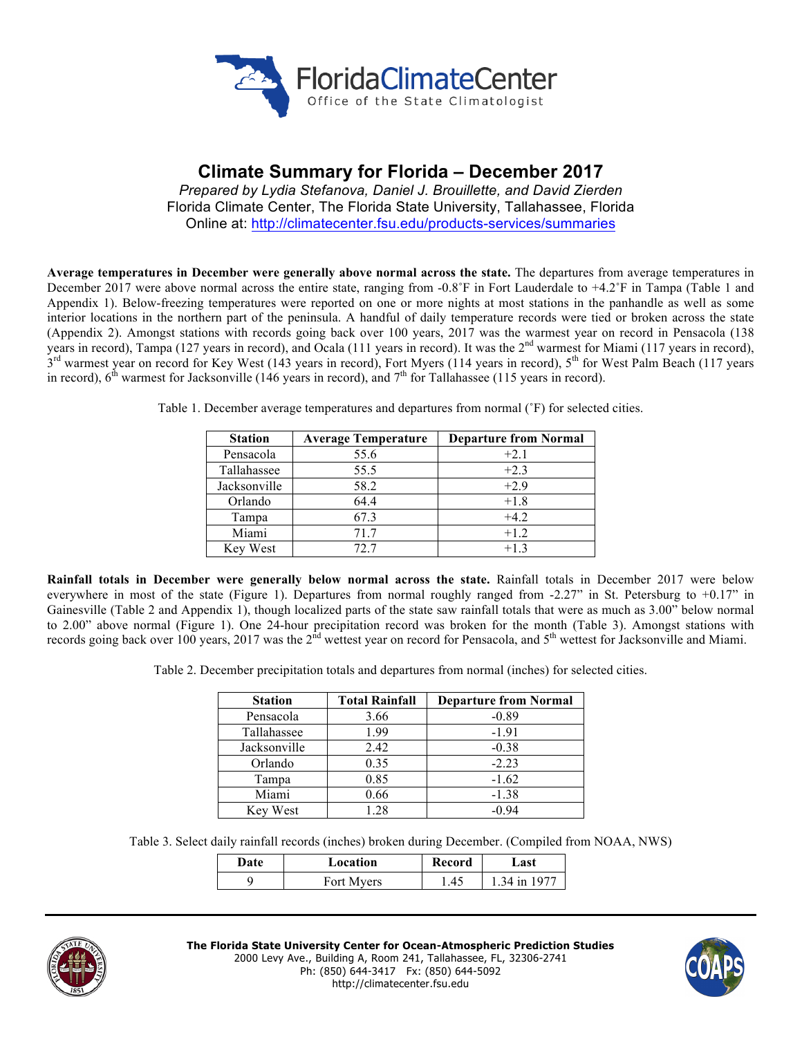

# **Climate Summary for Florida – December 2017**

*Prepared by Lydia Stefanova, Daniel J. Brouillette, and David Zierden* Florida Climate Center, The Florida State University, Tallahassee, Florida Online at: http://climatecenter.fsu.edu/products-services/summaries

**Average temperatures in December were generally above normal across the state.** The departures from average temperatures in December 2017 were above normal across the entire state, ranging from -0.8˚F in Fort Lauderdale to +4.2˚F in Tampa (Table 1 and Appendix 1). Below-freezing temperatures were reported on one or more nights at most stations in the panhandle as well as some interior locations in the northern part of the peninsula. A handful of daily temperature records were tied or broken across the state (Appendix 2). Amongst stations with records going back over 100 years, 2017 was the warmest year on record in Pensacola (138 years in record), Tampa (127 years in record), and Ocala (111 years in record). It was the 2<sup>nd</sup> warmest for Miami (117 years in record),  $3<sup>rd</sup>$  warmest year on record for Key West (143 years in record), Fort Myers (114 years in record),  $5<sup>th</sup>$  for West Palm Beach (117 years in record),  $6<sup>th</sup>$  warmest for Jacksonville (146 years in record), and  $7<sup>th</sup>$  for Tallahassee (115 years in record).

| <b>Station</b> | <b>Average Temperature</b> | <b>Departure from Normal</b> |
|----------------|----------------------------|------------------------------|
| Pensacola      | 55.6                       | $+2.1$                       |
| Tallahassee    | 55.5                       | $+2.3$                       |
| Jacksonville   | 58.2                       | $+2.9$                       |
| Orlando        | 64.4                       | $+1.8$                       |
| Tampa          | 67.3                       | $+42$                        |
| Miami          | 717                        | $+1.2$                       |
| Key West       | 72. 7                      | $+13$                        |

Table 1. December average temperatures and departures from normal (˚F) for selected cities.

**Rainfall totals in December were generally below normal across the state.** Rainfall totals in December 2017 were below everywhere in most of the state (Figure 1). Departures from normal roughly ranged from -2.27" in St. Petersburg to +0.17" in Gainesville (Table 2 and Appendix 1), though localized parts of the state saw rainfall totals that were as much as 3.00" below normal to 2.00" above normal (Figure 1). One 24-hour precipitation record was broken for the month (Table 3). Amongst stations with records going back over 100 years, 2017 was the  $2<sup>nd</sup>$  wettest year on record for Pensacola, and  $5<sup>th</sup>$  wettest for Jacksonville and Miami.

Table 2. December precipitation totals and departures from normal (inches) for selected cities.

| <b>Station</b> | <b>Total Rainfall</b> | <b>Departure from Normal</b> |
|----------------|-----------------------|------------------------------|
| Pensacola      | 3.66                  | $-0.89$                      |
| Tallahassee    | 1.99                  | $-1.91$                      |
| Jacksonville   | 2.42                  | $-0.38$                      |
| Orlando        | 0.35                  | $-2.23$                      |
| Tampa          | 0.85                  | $-1.62$                      |
| Miami          | 0.66                  | $-1.38$                      |
| Key West       | 1 28                  | -0.94                        |

Table 3. Select daily rainfall records (inches) broken during December. (Compiled from NOAA, NWS)

| Date | Location   | Record | Last         |  |
|------|------------|--------|--------------|--|
|      | Fort Myers | .45    | 1 34 in 1977 |  |



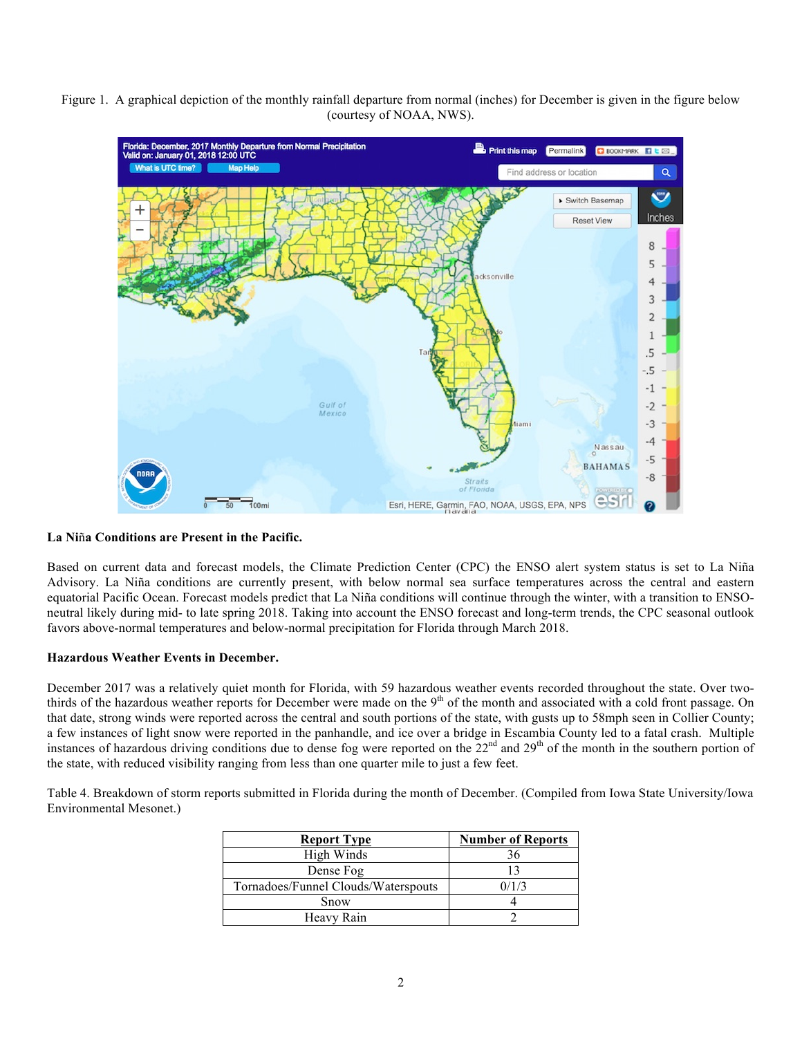Figure 1. A graphical depiction of the monthly rainfall departure from normal (inches) for December is given in the figure below (courtesy of NOAA, NWS).



## **La Ni**ñ**a Conditions are Present in the Pacific.**

Based on current data and forecast models, the Climate Prediction Center (CPC) the ENSO alert system status is set to La Niña Advisory. La Niña conditions are currently present, with below normal sea surface temperatures across the central and eastern equatorial Pacific Ocean. Forecast models predict that La Niña conditions will continue through the winter, with a transition to ENSOneutral likely during mid- to late spring 2018. Taking into account the ENSO forecast and long-term trends, the CPC seasonal outlook favors above-normal temperatures and below-normal precipitation for Florida through March 2018.

## **Hazardous Weather Events in December.**

December 2017 was a relatively quiet month for Florida, with 59 hazardous weather events recorded throughout the state. Over twothirds of the hazardous weather reports for December were made on the  $9<sup>th</sup>$  of the month and associated with a cold front passage. On that date, strong winds were reported across the central and south portions of the state, with gusts up to 58mph seen in Collier County; a few instances of light snow were reported in the panhandle, and ice over a bridge in Escambia County led to a fatal crash. Multiple instances of hazardous driving conditions due to dense fog were reported on the  $22<sup>nd</sup>$  and  $29<sup>th</sup>$  of the month in the southern portion of the state, with reduced visibility ranging from less than one quarter mile to just a few feet.

Table 4. Breakdown of storm reports submitted in Florida during the month of December. (Compiled from Iowa State University/Iowa Environmental Mesonet.)

| <b>Report Type</b>                  | <b>Number of Reports</b> |
|-------------------------------------|--------------------------|
| High Winds                          | 36                       |
| Dense Fog                           |                          |
| Tornadoes/Funnel Clouds/Waterspouts | 0/1/3                    |
| Snow                                |                          |
| Heavy Rain                          |                          |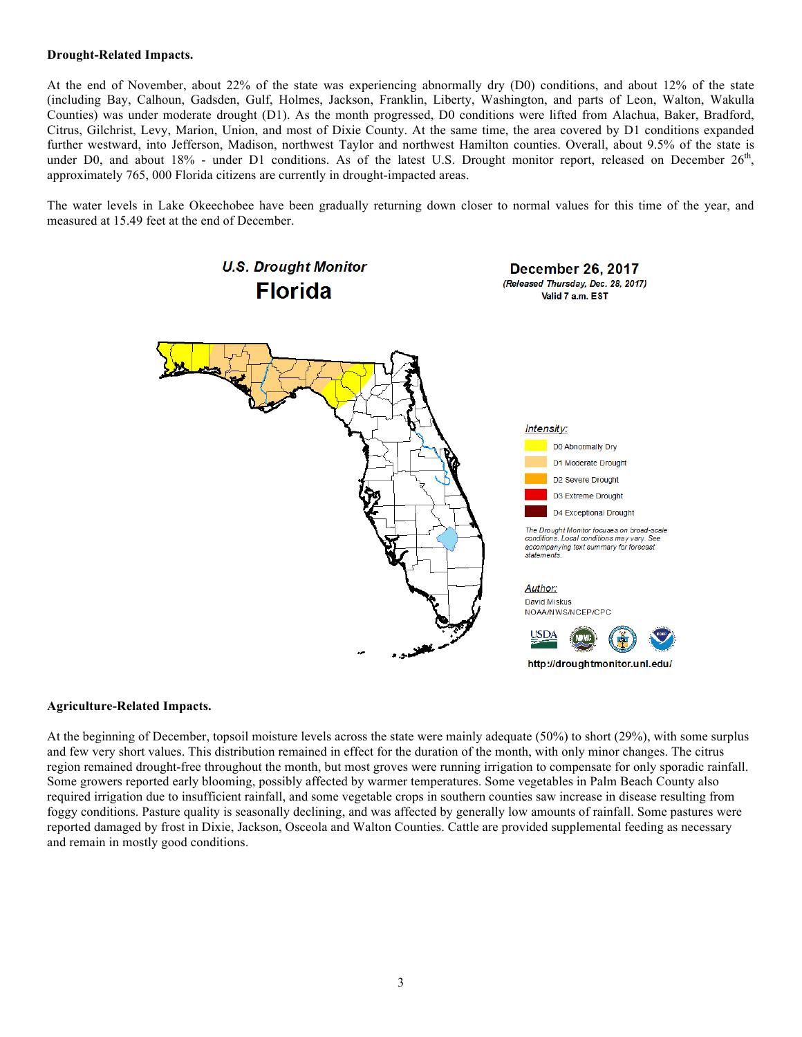#### **Drought-Related Impacts.**

At the end of November, about 22% of the state was experiencing abnormally dry (D0) conditions, and about 12% of the state (including Bay, Calhoun, Gadsden, Gulf, Holmes, Jackson, Franklin, Liberty, Washington, and parts of Leon, Walton, Wakulla Counties) was under moderate drought (D1). As the month progressed, D0 conditions were lifted from Alachua, Baker, Bradford, Citrus, Gilchrist, Levy, Marion, Union, and most of Dixie County. At the same time, the area covered by D1 conditions expanded further westward, into Jefferson, Madison, northwest Taylor and northwest Hamilton counties. Overall, about 9.5% of the state is under D0, and about 18% - under D1 conditions. As of the latest U.S. Drought monitor report, released on December  $26<sup>th</sup>$ , approximately 765, 000 Florida citizens are currently in drought-impacted areas.

The water levels in Lake Okeechobee have been gradually returning down closer to normal values for this time of the year, and measured at 15.49 feet at the end of December.



#### **Agriculture-Related Impacts.**

At the beginning of December, topsoil moisture levels across the state were mainly adequate (50%) to short (29%), with some surplus and few very short values. This distribution remained in effect for the duration of the month, with only minor changes. The citrus region remained drought-free throughout the month, but most groves were running irrigation to compensate for only sporadic rainfall. Some growers reported early blooming, possibly affected by warmer temperatures. Some vegetables in Palm Beach County also required irrigation due to insufficient rainfall, and some vegetable crops in southern counties saw increase in disease resulting from foggy conditions. Pasture quality is seasonally declining, and was affected by generally low amounts of rainfall. Some pastures were reported damaged by frost in Dixie, Jackson, Osceola and Walton Counties. Cattle are provided supplemental feeding as necessary and remain in mostly good conditions.